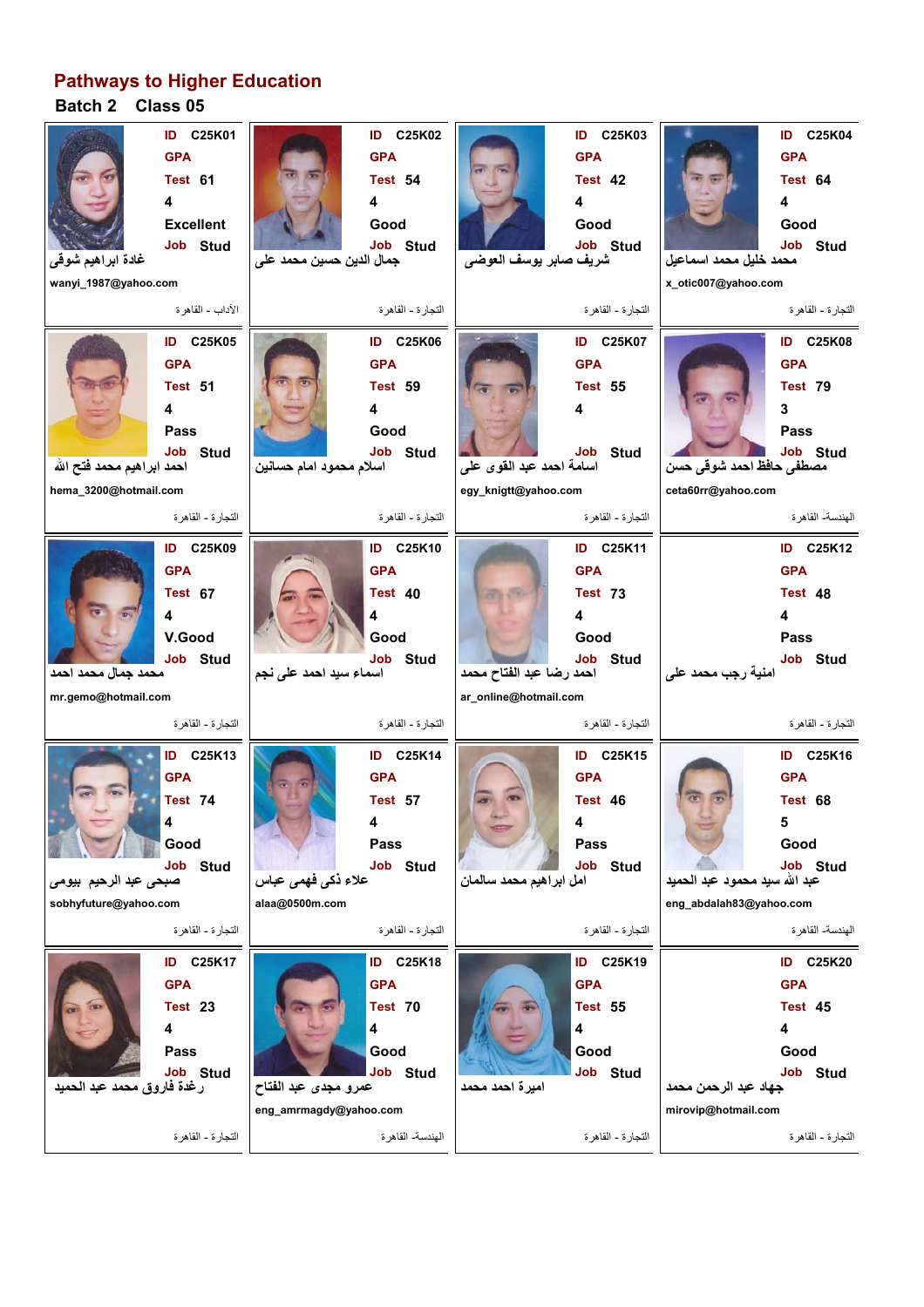## **Pathways to Higher Education**